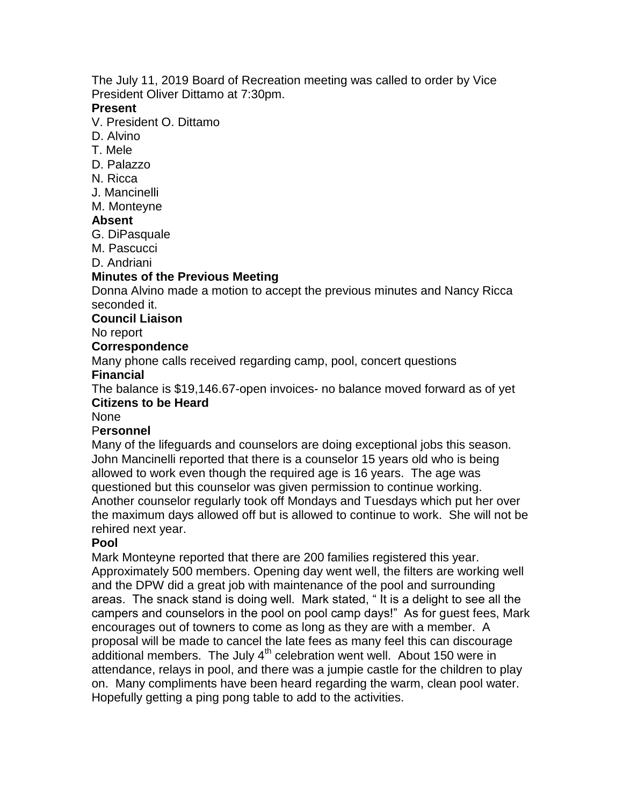The July 11, 2019 Board of Recreation meeting was called to order by Vice President Oliver Dittamo at 7:30pm.

#### **Present**

V. President O. Dittamo

- D. Alvino
- T. Mele
- D. Palazzo
- N. Ricca
- J. Mancinelli
- M. Monteyne

#### **Absent**

- G. DiPasquale
- M. Pascucci
- D. Andriani

#### **Minutes of the Previous Meeting**

Donna Alvino made a motion to accept the previous minutes and Nancy Ricca seconded it.

#### **Council Liaison**

#### No report

#### **Correspondence**

Many phone calls received regarding camp, pool, concert questions

# **Financial**

The balance is \$19,146.67-open invoices- no balance moved forward as of yet **Citizens to be Heard**

#### None

#### P**ersonnel**

Many of the lifeguards and counselors are doing exceptional jobs this season. John Mancinelli reported that there is a counselor 15 years old who is being allowed to work even though the required age is 16 years. The age was questioned but this counselor was given permission to continue working. Another counselor regularly took off Mondays and Tuesdays which put her over the maximum days allowed off but is allowed to continue to work. She will not be rehired next year.

#### **Pool**

Mark Monteyne reported that there are 200 families registered this year. Approximately 500 members. Opening day went well, the filters are working well and the DPW did a great job with maintenance of the pool and surrounding areas. The snack stand is doing well. Mark stated, " It is a delight to see all the campers and counselors in the pool on pool camp days!" As for guest fees, Mark encourages out of towners to come as long as they are with a member. A proposal will be made to cancel the late fees as many feel this can discourage additional members. The July  $4<sup>th</sup>$  celebration went well. About 150 were in attendance, relays in pool, and there was a jumpie castle for the children to play on. Many compliments have been heard regarding the warm, clean pool water. Hopefully getting a ping pong table to add to the activities.